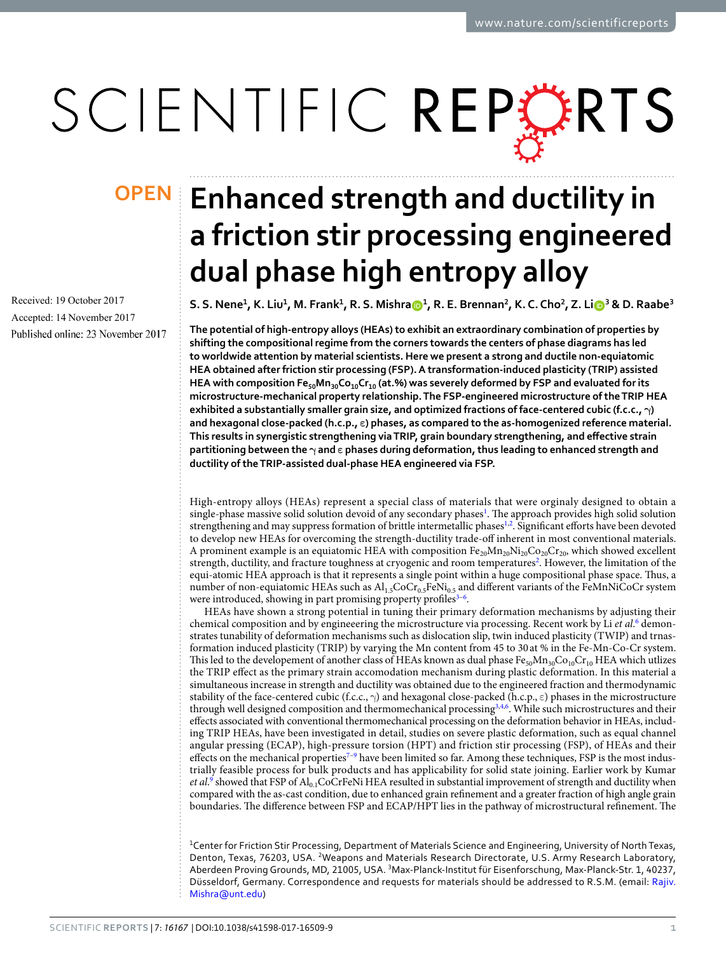# SCIENTIFIC REPERTS

Received: 19 October 2017 Accepted: 14 November 2017 Published online: 23 November 2017

## **OPEN** Enhanced strength and ductility in **a friction stir processing engineered dual phase high entropy alloy**

S.S. Nene<sup>1</sup>, K. Liu<sup>1</sup>, M. Frank<sup>1</sup>, R. S. Mishra®<sup>1</sup>, R. E. Brennan<sup>2</sup>, K. C. Cho<sup>2</sup>, Z. Li®<sup>3</sup> & D. Raabe<sup>3</sup>

**The potential of high-entropy alloys (HEAs) to exhibit an extraordinary combination of properties by shifting the compositional regime from the corners towards the centers of phase diagrams has led to worldwide attention by material scientists. Here we present a strong and ductile non-equiatomic HEA obtained after friction stir processing (FSP). A transformation-induced plasticity (TRIP) assisted HEA with composition Fe50Mn30Co10Cr10 (at.%) was severely deformed by FSP and evaluated for its microstructure-mechanical property relationship. The FSP-engineered microstructure of the TRIP HEA exhibited a substantially smaller grain size, and optimized fractions of face-centered cubic (f.c.c., γ) and hexagonal close-packed (h.c.p., ε) phases, as compared to the as-homogenized reference material. This results in synergistic strengthening via TRIP, grain boundary strengthening, and effective strain partitioning between the γ and ε phases during deformation, thus leading to enhanced strength and ductility of the TRIP-assisted dual-phase HEA engineered via FSP.**

High-entropy alloys (HEAs) represent a special class of materials that were orginaly designed to obtain a single-phase massive solid solution devoid of any secondary phases<sup>[1](#page-5-0)</sup>. The approach provides high solid solution strengthening and may suppress formation of brittle intermetallic phases<sup>[1,](#page-5-0)[2](#page-5-1)</sup>. Significant efforts have been devoted to develop new HEAs for overcoming the strength-ductility trade-off inherent in most conventional materials. A prominent example is an equiatomic HEA with composition  $Fe_{20}Mn_{20}Ni_{20}Co_{20}Cr_{20}$ , which showed excellent strength, ductility, and fracture toughness at cryogenic and room temperatures<sup>[2](#page-5-1)</sup>. However, the limitation of the equi-atomic HEA approach is that it represents a single point within a huge compositional phase space. Thus, a number of non-equiatomic HEAs such as  $Al_{1.5}CoCr_{0.5}FeNi_{0.5}$  and different variants of the FeMnNiCoCr system were introduced, showing in part promising property profiles<sup>3-[6](#page-5-3)</sup>.

HEAs have shown a strong potential in tuning their primary deformation mechanisms by adjusting their chemical composition and by engineeering the microstructure via processing. Recent work by Li et al.<sup>[6](#page-5-3)</sup> demonstrates tunability of deformation mechanisms such as dislocation slip, twin induced plasticity (TWIP) and trnasformation induced plasticity (TRIP) by varying the Mn content from 45 to 30 at % in the Fe-Mn-Co-Cr system. This led to the developement of another class of HEAs known as dual phase  $Fe_{50}Mn_{30}Co_{10}Cr_{10}$  HEA which utlizes the TRIP effect as the primary strain accomodation mechanism during plastic deformation. In this material a simultaneous increase in strength and ductility was obtained due to the engineered fraction and thermodynamic stability of the face-centered cubic (f.c.c.,  $\gamma$ ) and hexagonal close-packed (h.c.p.,  $\varepsilon$ ) phases in the microstructure through well designed composition and thermomechanical processing<sup>[3](#page-5-2)[,4](#page-5-4),[6](#page-5-3)</sup>. While such microstructures and their effects associated with conventional thermomechanical processing on the deformation behavior in HEAs, including TRIP HEAs, have been investigated in detail, studies on severe plastic deformation, such as equal channel angular pressing (ECAP), high-pressure torsion (HPT) and friction stir processing (FSP), of HEAs and their effects on the mechanical properties<sup>[7](#page-5-5)-9</sup> have been limited so far. Among these techniques, FSP is the most industrially feasible process for bulk products and has applicability for solid state joining. Earlier work by Kumar *et al.*<sup>[9](#page-5-6)</sup> showed that FSP of  $Al_{0.1}$ CoCrFeNi HEA resulted in substantial improvement of strength and ductility when compared with the as-cast condition, due to enhanced grain refinement and a greater fraction of high angle grain boundaries. The difference between FSP and ECAP/HPT lies in the pathway of microstructural refinement. The

<sup>1</sup>Center for Friction Stir Processing, Department of Materials Science and Engineering, University of North Texas, Denton, Texas, 76203, USA. <sup>2</sup>Weapons and Materials Research Directorate, U.S. Army Research Laboratory, Aberdeen Proving Grounds, MD, 21005, USA. <sup>3</sup>Max-Planck-Institut für Eisenforschung, Max-Planck-Str. 1, 40237, Düsseldorf, Germany. Correspondence and requests for materials should be addressed to R.S.M. (email: [Rajiv.](mailto:Rajiv.Mishra@unt.edu) [Mishra@unt.edu](mailto:Rajiv.Mishra@unt.edu))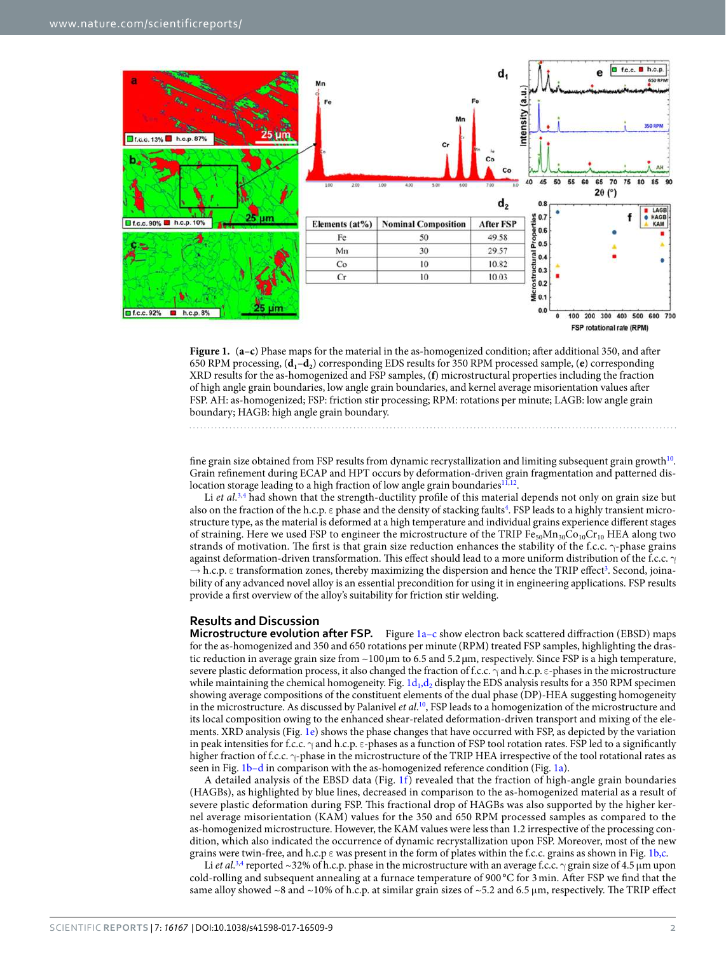

<span id="page-1-0"></span>**Figure 1.** (**a**–**c**) Phase maps for the material in the as-homogenized condition; after additional 350, and after 650 RPM processing, (**d1**–**d<sup>2</sup>** ) corresponding EDS results for 350 RPM processed sample, (**e**) corresponding XRD results for the as-homogenized and FSP samples, (**f**) microstructural properties including the fraction of high angle grain boundaries, low angle grain boundaries, and kernel average misorientation values after FSP. AH: as-homogenized; FSP: friction stir processing; RPM: rotations per minute; LAGB: low angle grain boundary; HAGB: high angle grain boundary.

fine grain size obtained from FSP results from dynamic recrystallization and limiting subsequent grain growth<sup>[10](#page-5-7)</sup>. Grain refinement during ECAP and HPT occurs by deformation-driven grain fragmentation and patterned dis-location storage leading to a high fraction of low angle grain boundaries<sup>[11](#page-5-8)[,12](#page-5-9)</sup>.

Li et al.<sup>[3,](#page-5-2)[4](#page-5-4)</sup> had shown that the strength-ductility profile of this material depends not only on grain size but also on the fraction of the h.c.p.  $\varepsilon$  phase and the density of stacking faults<sup>[4](#page-5-4)</sup>. FSP leads to a highly transient microstructure type, as the material is deformed at a high temperature and individual grains experience different stages of straining. Here we used FSP to engineer the microstructure of the TRIP  $Fe_{50}Mn_{30}Co_{10}Cr_{10}$  HEA along two strands of motivation. The first is that grain size reduction enhances the stability of the f.c.c. γ-phase grains against deformation-driven transformation. This effect should lead to a more uniform distribution of the f.c.c. γ  $\rightarrow$  h.c.p.  $\varepsilon$  transformation zones, thereby maximizing the dispersion and hence the TRIP effect<sup>[3](#page-5-2)</sup>. Second, joinability of any advanced novel alloy is an essential precondition for using it in engineering applications. FSP results provide a first overview of the alloy's suitability for friction stir welding.

#### **Results and Discussion**

**Microstructure evolution after FSP.** Figure [1a–c](#page-1-0) show electron back scattered diffraction (EBSD) maps for the as-homogenized and 350 and 650 rotations per minute (RPM) treated FSP samples, highlighting the drastic reduction in average grain size from ~100 µm to 6.5 and 5.2 µm, respectively. Since FSP is a high temperature, severe plastic deformation process, it also changed the fraction of f.c.c. γ and h.c.p. ε-phases in the microstructure while maintaining the chemical homogeneity. Fig.  $1d_1, d_2$  display the EDS analysis results for a 350 RPM specimen showing average compositions of the constituent elements of the dual phase (DP)-HEA suggesting homogeneity in the microstructure. As discussed by Palanivel *et al.*<sup>[10](#page-5-7)</sup>, FSP leads to a homogenization of the microstructure and its local composition owing to the enhanced shear-related deformation-driven transport and mixing of the elements. XRD analysis (Fig. [1e](#page-1-0)) shows the phase changes that have occurred with FSP, as depicted by the variation in peak intensities for f.c.c. γ and h.c.p. ε-phases as a function of FSP tool rotation rates. FSP led to a significantly higher fraction of f.c.c. γ-phase in the microstructure of the TRIP HEA irrespective of the tool rotational rates as seen in Fig. [1b–d](#page-1-0) in comparison with the as-homogenized reference condition (Fig. [1a](#page-1-0)).

A detailed analysis of the EBSD data (Fig. [1f](#page-1-0)) revealed that the fraction of high-angle grain boundaries (HAGBs), as highlighted by blue lines, decreased in comparison to the as-homogenized material as a result of severe plastic deformation during FSP. This fractional drop of HAGBs was also supported by the higher kernel average misorientation (KAM) values for the 350 and 650 RPM processed samples as compared to the as-homogenized microstructure. However, the KAM values were less than 1.2 irrespective of the processing condition, which also indicated the occurrence of dynamic recrystallization upon FSP. Moreover, most of the new grains were twin-free, and h.c.p ε was present in the form of plates within the f.c.c. grains as shown in Fig. [1b,c](#page-1-0).

Li *et al.*<sup>[3](#page-5-2)[,4](#page-5-4)</sup> reported ~32% of h.c.p. phase in the microstructure with an average f.c.c.  $\gamma$  grain size of 4.5 µm upon cold-rolling and subsequent annealing at a furnace temperature of 900 °C for 3 min. After FSP we find that the same alloy showed ~8 and ~10% of h.c.p. at similar grain sizes of ~5.2 and 6.5  $\mu$ m, respectively. The TRIP effect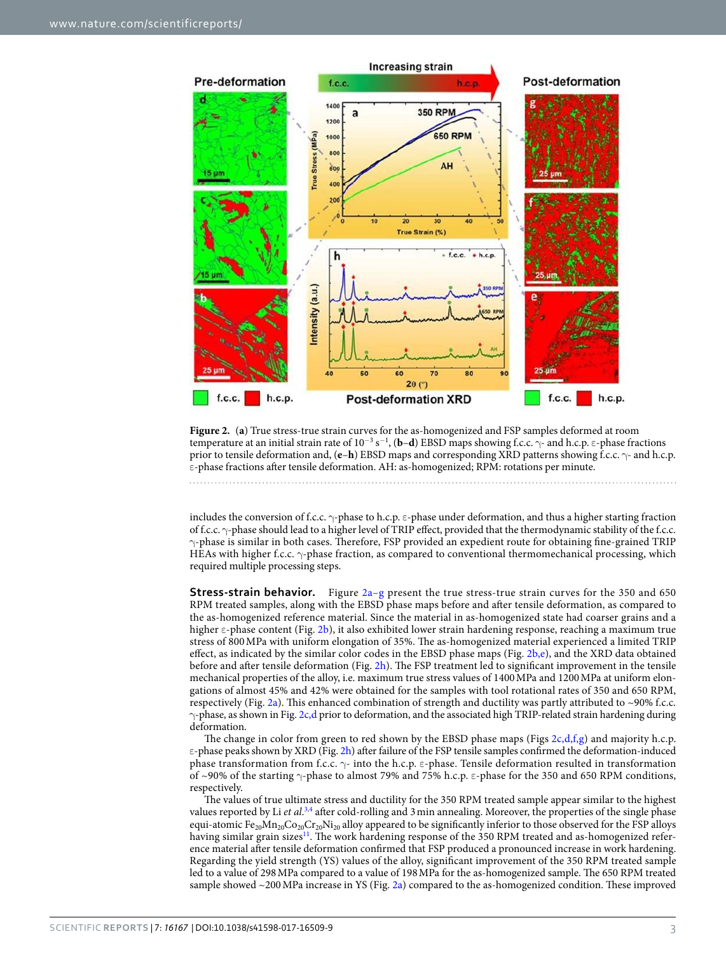

<span id="page-2-0"></span>**Figure 2.** (**a**) True stress-true strain curves for the as-homogenized and FSP samples deformed at room temperature at an initial strain rate of 10<sup>-3</sup> s<sup>−1</sup>, (**b−d**) EBSD maps showing f.c.c.  $\gamma$ - and h.c.p. ε-phase fractions prior to tensile deformation and, (**e**–**h**) EBSD maps and corresponding XRD patterns showing f.c.c. γ- and h.c.p. ε-phase fractions after tensile deformation. AH: as-homogenized; RPM: rotations per minute.

includes the conversion of f.c.c. γ-phase to h.c.p. ε-phase under deformation, and thus a higher starting fraction of f.c.c. γ-phase should lead to a higher level of TRIP effect, provided that the thermodynamic stability of the f.c.c. γ-phase is similar in both cases. Therefore, FSP provided an expedient route for obtaining fine-grained TRIP HEAs with higher f.c.c. γ-phase fraction, as compared to conventional thermomechanical processing, which required multiple processing steps.

**Stress-strain behavior.** Figure [2a–g](#page-2-0) present the true stress-true strain curves for the 350 and 650 RPM treated samples, along with the EBSD phase maps before and after tensile deformation, as compared to the as-homogenized reference material. Since the material in as-homogenized state had coarser grains and a higher ε-phase content (Fig. [2b\)](#page-2-0), it also exhibited lower strain hardening response, reaching a maximum true stress of 800 MPa with uniform elongation of 35%. The as-homogenized material experienced a limited TRIP effect, as indicated by the similar color codes in the EBSD phase maps (Fig. [2b,e](#page-2-0)), and the XRD data obtained before and after tensile deformation (Fig. [2h\)](#page-2-0). The FSP treatment led to significant improvement in the tensile mechanical properties of the alloy, i.e. maximum true stress values of 1400 MPa and 1200 MPa at uniform elongations of almost 45% and 42% were obtained for the samples with tool rotational rates of 350 and 650 RPM, respectively (Fig. [2a\)](#page-2-0). This enhanced combination of strength and ductility was partly attributed to ~90% f.c.c. γ-phase, as shown in Fig. [2c,d](#page-2-0) prior to deformation, and the associated high TRIP-related strain hardening during deformation.

The change in color from green to red shown by the EBSD phase maps (Figs  $2c,d,f,g$ ) and majority h.c.p. ε-phase peaks shown by XRD (Fig. [2h](#page-2-0)) after failure of the FSP tensile samples confirmed the deformation-induced phase transformation from f.c.c. γ- into the h.c.p. ε-phase. Tensile deformation resulted in transformation of ~90% of the starting γ-phase to almost 79% and 75% h.c.p. ε-phase for the 350 and 650 RPM conditions, respectively.

The values of true ultimate stress and ductility for the 350 RPM treated sample appear similar to the highest values reported by Li et al.<sup>[3](#page-5-2),[4](#page-5-4)</sup> after cold-rolling and 3 min annealing. Moreover, the properties of the single phase equi-atomic  $Fe_{20}Mn_{20}Co_{20}Cr_{20}Ni_{20}$  alloy appeared to be significantly inferior to those observed for the FSP alloys having similar grain sizes<sup>[11](#page-5-8)</sup>. The work hardening response of the 350 RPM treated and as-homogenized reference material after tensile deformation confirmed that FSP produced a pronounced increase in work hardening. Regarding the yield strength (YS) values of the alloy, significant improvement of the 350 RPM treated sample led to a value of 298 MPa compared to a value of 198 MPa for the as-homogenized sample. The 650 RPM treated sample showed ~200 MPa increase in YS (Fig. [2a](#page-2-0)) compared to the as-homogenized condition. These improved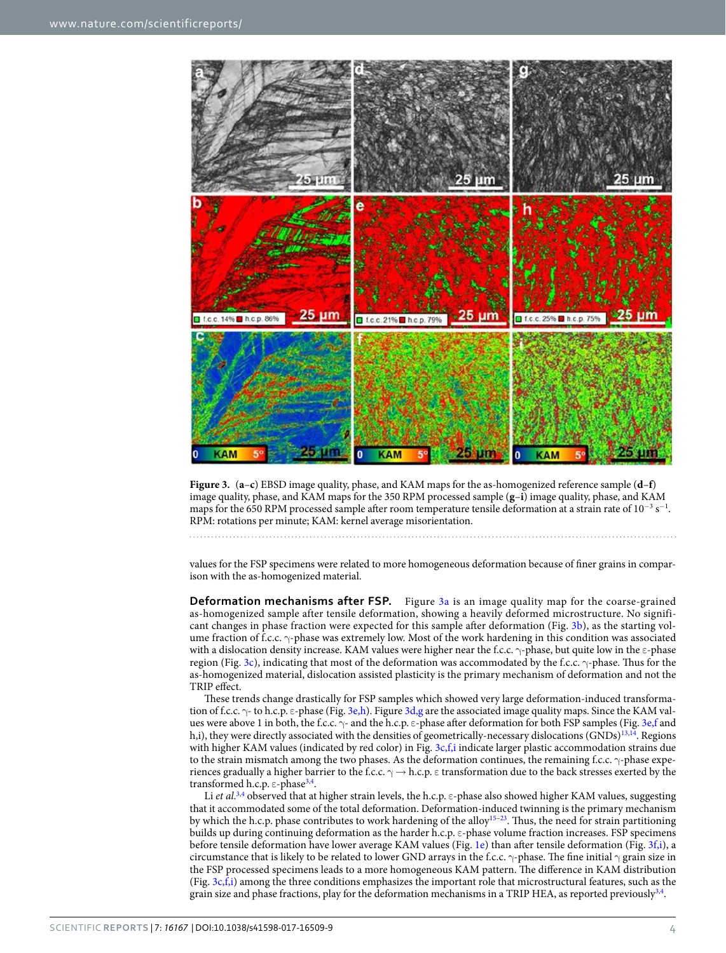

<span id="page-3-0"></span>

values for the FSP specimens were related to more homogeneous deformation because of finer grains in comparison with the as-homogenized material.

**Deformation mechanisms after FSP.** Figure [3a](#page-3-0) is an image quality map for the coarse-grained as-homogenized sample after tensile deformation, showing a heavily deformed microstructure. No significant changes in phase fraction were expected for this sample after deformation (Fig. [3b\)](#page-3-0), as the starting volume fraction of f.c.c. γ-phase was extremely low. Most of the work hardening in this condition was associated with a dislocation density increase. KAM values were higher near the f.c.c.  $\gamma$ -phase, but quite low in the ε-phase region (Fig. [3c](#page-3-0)), indicating that most of the deformation was accommodated by the f.c.c. γ-phase. Thus for the as-homogenized material, dislocation assisted plasticity is the primary mechanism of deformation and not the TRIP effect.

These trends change drastically for FSP samples which showed very large deformation-induced transformation of f.c.c.  $\gamma$ - to h.c.p.  $\varepsilon$ -phase (Fig. [3e,h](#page-3-0)). Figure [3d,g](#page-3-0) are the associated image quality maps. Since the KAM values were above 1 in both, the f.c.c.  $\gamma$ - and the h.c.p. ε-phase after deformation for both FSP samples (Fig. [3e,f](#page-3-0) and h,i), they were directly associated with the densities of geometrically-necessary dislocations (GNDs)<sup>[13](#page-5-10),[14](#page-5-11)</sup>. Regions with higher KAM values (indicated by red color) in Fig. [3c,f,i](#page-3-0) indicate larger plastic accommodation strains due to the strain mismatch among the two phases. As the deformation continues, the remaining f.c.c. γ-phase experiences gradually a higher barrier to the f.c.c.  $\gamma \to h.c.p.$  ε transformation due to the back stresses exerted by the transformed h.c.p. ε-phase<sup>[3](#page-5-2),[4](#page-5-4)</sup>.

Li et al.<sup>[3,](#page-5-2)[4](#page-5-4)</sup> observed that at higher strain levels, the h.c.p.  $\varepsilon$ -phase also showed higher KAM values, suggesting that it accommodated some of the total deformation. Deformation-induced twinning is the primary mechanism by which the h.c.p. phase contributes to work hardening of the alloy[15](#page-5-12)[–23](#page-6-0). Thus, the need for strain partitioning builds up during continuing deformation as the harder h.c.p. ε-phase volume fraction increases. FSP specimens before tensile deformation have lower average KAM values (Fig. [1e\)](#page-1-0) than after tensile deformation (Fig. [3f,i](#page-3-0)), a circumstance that is likely to be related to lower GND arrays in the f.c.c.  $\gamma$ -phase. The fine initial  $\gamma$  grain size in the FSP processed specimens leads to a more homogeneous KAM pattern. The difference in KAM distribution (Fig. [3c,f,i\)](#page-3-0) among the three conditions emphasizes the important role that microstructural features, such as the grain size and phase fractions, play for the deformation mechanisms in a TRIP HEA, as reported previously  $^{3,4}$  $^{3,4}$  $^{3,4}$  $^{3,4}$  $^{3,4}$ .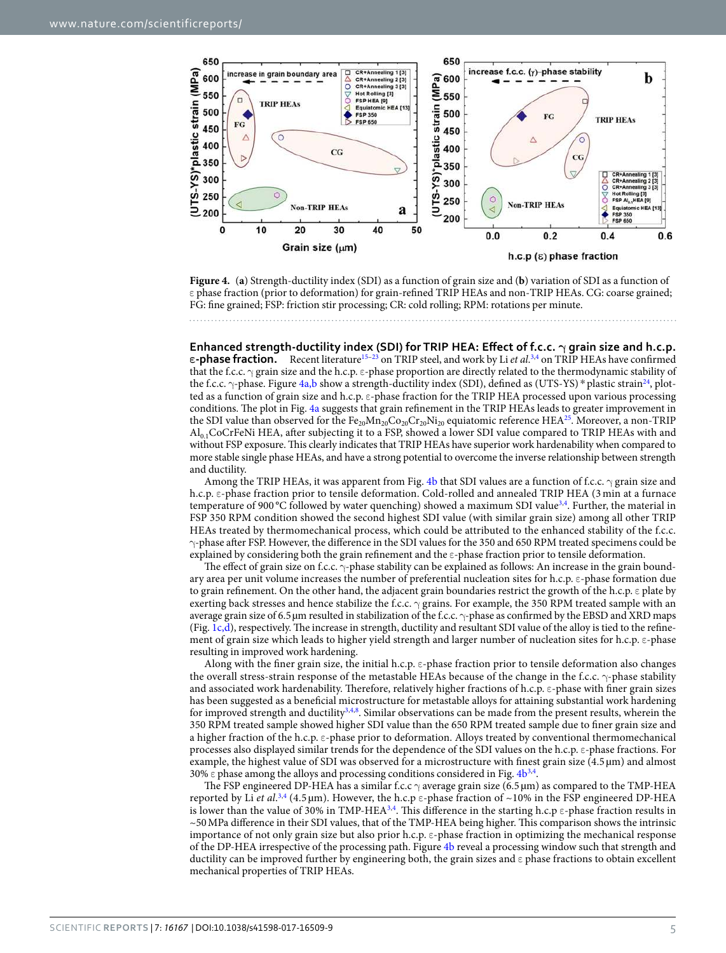

<span id="page-4-0"></span>**Figure 4.** (**a**) Strength-ductility index (SDI) as a function of grain size and (**b**) variation of SDI as a function of ε phase fraction (prior to deformation) for grain-refined TRIP HEAs and non-TRIP HEAs. CG: coarse grained; FG: fine grained; FSP: friction stir processing; CR: cold rolling; RPM: rotations per minute.

**Enhanced strength-ductility index (SDI) for TRIP HEA: Effect of f.c.c. γ grain size and h.c.p. ε-phase fraction.** Recent literature<sup>[15](#page-5-12)[–23](#page-6-0)</sup> on TRIP steel, and work by Li *et al*.<sup>[3](#page-5-2)[,4](#page-5-4)</sup> on TRIP HEAs have confirmed that the f.c.c.  $\gamma$  grain size and the h.c.p.  $\varepsilon$ -phase proportion are directly related to the thermodynamic stability of the f.c.c.  $\gamma$ -phase. Figure [4a,b](#page-4-0) show a strength-ductility index (SDI), defined as (UTS-YS) \* plastic strain<sup>[24](#page-6-1)</sup>, plotted as a function of grain size and h.c.p. ε-phase fraction for the TRIP HEA processed upon various processing conditions. The plot in Fig. [4a](#page-4-0) suggests that grain refinement in the TRIP HEAs leads to greater improvement in the SDI value than observed for the  $Fe_{20}Mn_{20}Co_{20}Cr_{20}Ni_{20}$  equiatomic reference HEA<sup>[25](#page-6-2)</sup>. Moreover, a non-TRIP Al0.1CoCrFeNi HEA, after subjecting it to a FSP, showed a lower SDI value compared to TRIP HEAs with and without FSP exposure. This clearly indicates that TRIP HEAs have superior work hardenability when compared to more stable single phase HEAs, and have a strong potential to overcome the inverse relationship between strength and ductility.

Among the TRIP HEAs, it was apparent from Fig. [4b](#page-4-0) that SDI values are a function of f.c.c.  $\gamma$  grain size and h.c.p. ε-phase fraction prior to tensile deformation. Cold-rolled and annealed TRIP HEA (3 min at a furnace temperature of 900 °C followed by water quenching) showed a maximum SDI value<sup>[3](#page-5-2),[4](#page-5-4)</sup>. Further, the material in FSP 350 RPM condition showed the second highest SDI value (with similar grain size) among all other TRIP HEAs treated by thermomechanical process, which could be attributed to the enhanced stability of the f.c.c. γ-phase after FSP. However, the difference in the SDI values for the 350 and 650 RPM treated specimens could be explained by considering both the grain refinement and the ε-phase fraction prior to tensile deformation.

The effect of grain size on f.c.c. γ-phase stability can be explained as follows: An increase in the grain boundary area per unit volume increases the number of preferential nucleation sites for h.c.p. ε-phase formation due to grain refinement. On the other hand, the adjacent grain boundaries restrict the growth of the h.c.p. ε plate by exerting back stresses and hence stabilize the f.c.c.  $\gamma$  grains. For example, the 350 RPM treated sample with an average grain size of 6.5 µm resulted in stabilization of the f.c.c. γ-phase as confirmed by the EBSD and XRD maps (Fig. [1c,d\)](#page-1-0), respectively. The increase in strength, ductility and resultant SDI value of the alloy is tied to the refinement of grain size which leads to higher yield strength and larger number of nucleation sites for h.c.p. ε-phase resulting in improved work hardening.

Along with the finer grain size, the initial h.c.p. ε-phase fraction prior to tensile deformation also changes the overall stress-strain response of the metastable HEAs because of the change in the f.c.c. γ-phase stability and associated work hardenability. Therefore, relatively higher fractions of h.c.p. ε-phase with finer grain sizes has been suggested as a beneficial microstructure for metastable alloys for attaining substantial work hardening for improved strength and ductility<sup>[3](#page-5-2)[,4](#page-5-4)[,8](#page-5-13)</sup>. Similar observations can be made from the present results, wherein the 350 RPM treated sample showed higher SDI value than the 650 RPM treated sample due to finer grain size and a higher fraction of the h.c.p. ε-phase prior to deformation. Alloys treated by conventional thermomechanical processes also displayed similar trends for the dependence of the SDI values on the h.c.p. ε-phase fractions. For example, the highest value of SDI was observed for a microstructure with finest grain size (4.5 µm) and almost 30%  $\epsilon$  phase among the alloys and processing conditions considered in Fig.  $4b^{3,4}$  $4b^{3,4}$  $4b^{3,4}$  $4b^{3,4}$ .

The FSP engineered DP-HEA has a similar f.c.c  $\gamma$  average grain size (6.5 µm) as compared to the TMP-HEA reported by Li et al.<sup>[3](#page-5-2)[,4](#page-5-4)</sup> (4.5 µm). However, the h.c.p  $\varepsilon$ -phase fraction of ~10% in the FSP engineered DP-HEA is lower than the value of 30% in TMP-HEA<sup>[3,](#page-5-2)[4](#page-5-4)</sup>. This difference in the starting h.c.p  $\epsilon$ -phase fraction results in ~50 MPa difference in their SDI values, that of the TMP-HEA being higher. This comparison shows the intrinsic importance of not only grain size but also prior h.c.p. ε-phase fraction in optimizing the mechanical response of the DP-HEA irrespective of the processing path. Figure [4b](#page-4-0) reveal a processing window such that strength and ductility can be improved further by engineering both, the grain sizes and ε phase fractions to obtain excellent mechanical properties of TRIP HEAs.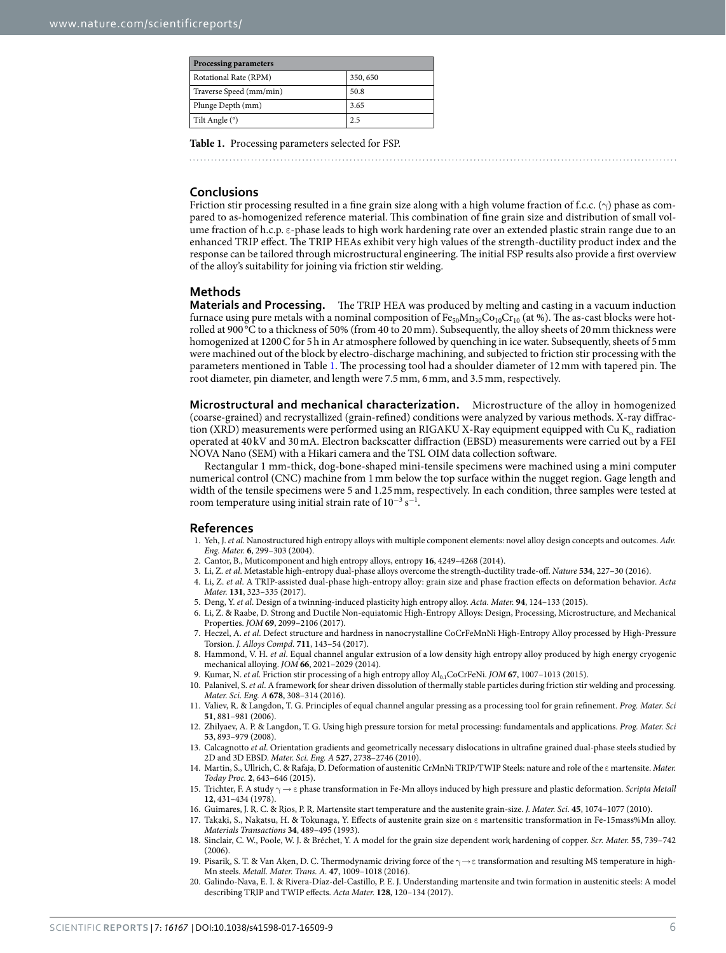<span id="page-5-14"></span>

| <b>Processing parameters</b> |          |
|------------------------------|----------|
| Rotational Rate (RPM)        | 350, 650 |
| Traverse Speed (mm/min)      | 50.8     |
| Plunge Depth (mm)            | 3.65     |
| Tilt Angle (°)               | 2.5      |

**Table 1.** Processing parameters selected for FSP.

#### **Conclusions**

Friction stir processing resulted in a fine grain size along with a high volume fraction of f.c.c.  $(\gamma)$  phase as compared to as-homogenized reference material. This combination of fine grain size and distribution of small volume fraction of h.c.p. ε-phase leads to high work hardening rate over an extended plastic strain range due to an enhanced TRIP effect. The TRIP HEAs exhibit very high values of the strength-ductility product index and the response can be tailored through microstructural engineering. The initial FSP results also provide a first overview of the alloy's suitability for joining via friction stir welding.

### **Methods**

**Materials and Processing.** The TRIP HEA was produced by melting and casting in a vacuum induction furnace using pure metals with a nominal composition of  $Fe_{50}Mn_{30}Co_{10}Cr_{10}$  (at %). The as-cast blocks were hotrolled at 900 °C to a thickness of 50% (from 40 to 20 mm). Subsequently, the alloy sheets of 20 mm thickness were homogenized at 1200 C for 5h in Ar atmosphere followed by quenching in ice water. Subsequently, sheets of 5 mm were machined out of the block by electro-discharge machining, and subjected to friction stir processing with the parameters mentioned in Table [1.](#page-5-14) The processing tool had a shoulder diameter of 12 mm with tapered pin. The root diameter, pin diameter, and length were 7.5 mm, 6 mm, and 3.5 mm, respectively.

**Microstructural and mechanical characterization.** Microstructure of the alloy in homogenized (coarse-grained) and recrystallized (grain-refined) conditions were analyzed by various methods. X-ray diffraction (XRD) measurements were performed using an RIGAKU X-Ray equipment equipped with Cu K<sub>α</sub> radiation operated at 40 kV and 30 mA. Electron backscatter diffraction (EBSD) measurements were carried out by a FEI NOVA Nano (SEM) with a Hikari camera and the TSL OIM data collection software.

Rectangular 1 mm-thick, dog-bone-shaped mini-tensile specimens were machined using a mini computer numerical control (CNC) machine from 1 mm below the top surface within the nugget region. Gage length and width of the tensile specimens were 5 and 1.25 mm, respectively. In each condition, three samples were tested at room temperature using initial strain rate of  $10^{-3}$  s<sup>-1</sup>.

#### **References**

- <span id="page-5-0"></span>1. Yeh, J. et al. Nanostructured high entropy alloys with multiple component elements: novel alloy design concepts and outcomes. Adv. Eng. Mater. **6**, 299–303 (2004).
- <span id="page-5-1"></span>2. Cantor, B., Muticomponent and high entropy alloys, entropy **16**, 4249–4268 (2014).
- <span id="page-5-2"></span>3. Li, Z. et al. Metastable high-entropy dual-phase alloys overcome the strength-ductility trade-off. Nature **534**, 227–30 (2016).
- <span id="page-5-4"></span> 4. Li, Z. et al. A TRIP-assisted dual-phase high-entropy alloy: grain size and phase fraction effects on deformation behavior. Acta Mater. **131**, 323–335 (2017).
- 5. Deng, Y. et al. Design of a twinning-induced plasticity high entropy alloy. Acta. Mater. **94**, 124–133 (2015).
- <span id="page-5-3"></span> 6. Li, Z. & Raabe, D. Strong and Ductile Non-equiatomic High-Entropy Alloys: Design, Processing, Microstructure, and Mechanical Properties. JOM **69**, 2099–2106 (2017).
- <span id="page-5-5"></span> 7. Heczel, A. et al. Defect structure and hardness in nanocrystalline CoCrFeMnNi High-Entropy Alloy processed by High-Pressure Torsion. J. Alloys Compd. **711**, 143–54 (2017).
- <span id="page-5-13"></span>8. Hammond, V. H. et al. Equal channel angular extrusion of a low density high entropy alloy produced by high energy cryogenic mechanical alloying. JOM **66**, 2021–2029 (2014).
- <span id="page-5-6"></span>9. Kumar, N. *et al.* Friction stir processing of a high entropy alloy  $Al_{0.1}CoCrFeNi$ . JOM **67**, 1007-1013 (2015).
- <span id="page-5-7"></span> 10. Palanivel, S. et al. A framework for shear driven dissolution of thermally stable particles during friction stir welding and processing. Mater. Sci. Eng. A **678**, 308–314 (2016).
- <span id="page-5-8"></span> 11. Valiev, R. & Langdon, T. G. Principles of equal channel angular pressing as a processing tool for grain refinement. Prog. Mater. Sci **51**, 881–981 (2006).
- <span id="page-5-9"></span> 12. Zhilyaev, A. P. & Langdon, T. G. Using high pressure torsion for metal processing: fundamentals and applications. Prog. Mater. Sci **53**, 893–979 (2008).
- <span id="page-5-10"></span>13. Calcagnotto et al. Orientation gradients and geometrically necessary dislocations in ultrafine grained dual-phase steels studied by 2D and 3D EBSD. Mater. Sci. Eng. A **527**, 2738–2746 (2010).
- <span id="page-5-11"></span> 14. Martin, S., Ullrich, C. & Rafaja, D. Deformation of austenitic CrMnNi TRIP/TWIP Steels: nature and role of the ε martensite. Mater. Today Proc. **2**, 643–646 (2015).
- <span id="page-5-12"></span>15. Trichter, F. A study  $\gamma \to \varepsilon$  phase transformation in Fe-Mn alloys induced by high pressure and plastic deformation. Scripta Metall **12**, 431–434 (1978).
- 16. Guimares, J. R. C. & Rios, P. R. Martensite start temperature and the austenite grain-size. J. Mater. Sci. **45**, 1074–1077 (2010).
- 17. Takaki, S., Nakatsu, H. & Tokunaga, Y. Effects of austenite grain size on ε martensitic transformation in Fe-15mass%Mn alloy. Materials Transactions **34**, 489–495 (1993).
- 18. Sinclair, C. W., Poole, W. J. & Bréchet, Y. A model for the grain size dependent work hardening of copper. Scr. Mater. **55**, 739–742  $(2006)$
- 19. Pisarik, S. T. & Van Aken, D. C. Thermodynamic driving force of the  $\gamma \rightarrow$   $\varepsilon$  transformation and resulting MS temperature in high-Mn steels. Metall. Mater. Trans. A. **47**, 1009–1018 (2016).
- 20. Galindo-Nava, E. I. & Rivera-Díaz-del-Castillo, P. E. J. Understanding martensite and twin formation in austenitic steels: A model describing TRIP and TWIP effects. Acta Mater. **128**, 120–134 (2017).